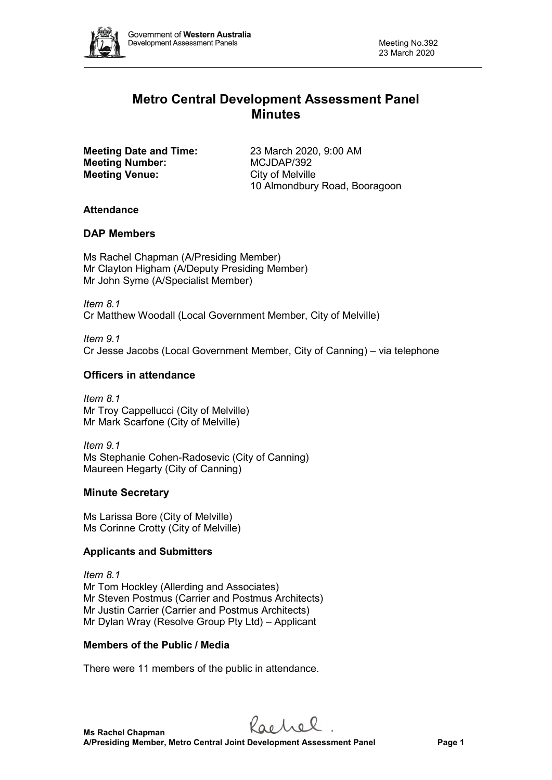

# **Metro Central Development Assessment Panel Minutes**

**Meeting Date and Time:** 23 March 2020, 9:00 AM **Meeting Number:** MCJDAP/392 **Meeting Venue:** City of Melville

10 Almondbury Road, Booragoon

### **Attendance**

## **DAP Members**

Ms Rachel Chapman (A/Presiding Member) Mr Clayton Higham (A/Deputy Presiding Member) Mr John Syme (A/Specialist Member)

*Item 8.1* Cr Matthew Woodall (Local Government Member, City of Melville)

*Item 9.1* Cr Jesse Jacobs (Local Government Member, City of Canning) – via telephone

### **Officers in attendance**

*Item 8.1* Mr Troy Cappellucci (City of Melville) Mr Mark Scarfone (City of Melville)

*Item 9.1* Ms Stephanie Cohen-Radosevic (City of Canning) Maureen Hegarty (City of Canning)

# **Minute Secretary**

Ms Larissa Bore (City of Melville) Ms Corinne Crotty (City of Melville)

# **Applicants and Submitters**

*Item 8.1* Mr Tom Hockley (Allerding and Associates) Mr Steven Postmus (Carrier and Postmus Architects) Mr Justin Carrier (Carrier and Postmus Architects) Mr Dylan Wray (Resolve Group Pty Ltd) – Applicant

# **Members of the Public / Media**

There were 11 members of the public in attendance.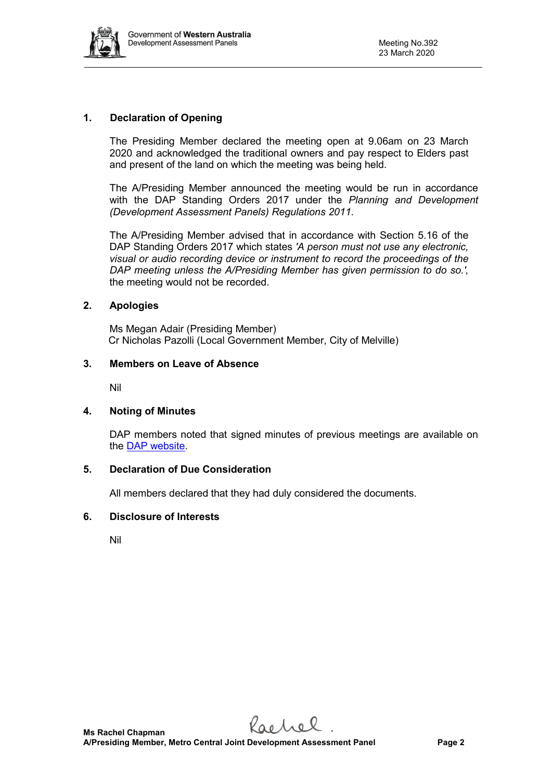

### **1. Declaration of Opening**

The Presiding Member declared the meeting open at 9.06am on 23 March 2020 and acknowledged the traditional owners and pay respect to Elders past and present of the land on which the meeting was being held.

The A/Presiding Member announced the meeting would be run in accordance with the DAP Standing Orders 2017 under the *Planning and Development (Development Assessment Panels) Regulations 2011*.

The A/Presiding Member advised that in accordance with Section 5.16 of the DAP Standing Orders 2017 which states *'A person must not use any electronic, visual or audio recording device or instrument to record the proceedings of the DAP meeting unless the A/Presiding Member has given permission to do so.',* the meeting would not be recorded.

#### **2. Apologies**

Ms Megan Adair (Presiding Member) Cr Nicholas Pazolli (Local Government Member, City of Melville)

#### **3. Members on Leave of Absence**

Nil

### **4. Noting of Minutes**

DAP members noted that signed minutes of previous meetings are available on the [DAP website.](https://www.planning.wa.gov.au/7578.aspx)

#### **5. Declaration of Due Consideration**

All members declared that they had duly considered the documents.

#### **6. Disclosure of Interests**

Nil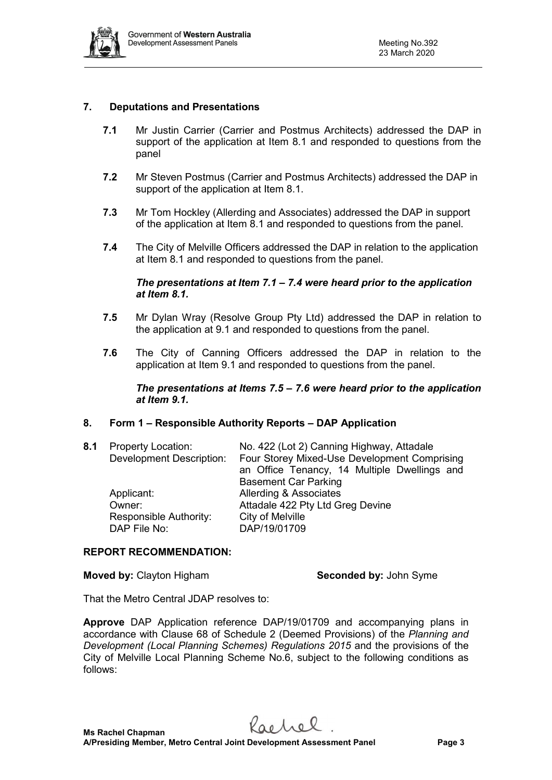

### **7. Deputations and Presentations**

- **7.1** Mr Justin Carrier (Carrier and Postmus Architects) addressed the DAP in support of the application at Item 8.1 and responded to questions from the panel
- **7.2** Mr Steven Postmus (Carrier and Postmus Architects) addressed the DAP in support of the application at Item 8.1.
- **7.3** Mr Tom Hockley (Allerding and Associates) addressed the DAP in support of the application at Item 8.1 and responded to questions from the panel.
- **7.4** The City of Melville Officers addressed the DAP in relation to the application at Item 8.1 and responded to questions from the panel.

#### *The presentations at Item 7.1 – 7.4 were heard prior to the application at Item 8.1.*

- **7.5** Mr Dylan Wray (Resolve Group Pty Ltd) addressed the DAP in relation to the application at 9.1 and responded to questions from the panel.
- **7.6** The City of Canning Officers addressed the DAP in relation to the application at Item 9.1 and responded to questions from the panel.

#### *The presentations at Items 7.5 – 7.6 were heard prior to the application at Item 9.1.*

### **8. Form 1 – Responsible Authority Reports – DAP Application**

| 8.1 | <b>Property Location:</b><br><b>Development Description:</b>   | No. 422 (Lot 2) Canning Highway, Attadale<br>Four Storey Mixed-Use Development Comprising<br>an Office Tenancy, 14 Multiple Dwellings and<br><b>Basement Car Parking</b> |
|-----|----------------------------------------------------------------|--------------------------------------------------------------------------------------------------------------------------------------------------------------------------|
|     | Applicant:<br>Owner:<br>Responsible Authority:<br>DAP File No: | Allerding & Associates<br>Attadale 422 Pty Ltd Greg Devine<br>City of Melville<br>DAP/19/01709                                                                           |

### **REPORT RECOMMENDATION:**

**Moved by:** Clayton Higham **Seconded by:** John Syme

That the Metro Central JDAP resolves to:

**Approve** DAP Application reference DAP/19/01709 and accompanying plans in accordance with Clause 68 of Schedule 2 (Deemed Provisions) of the *Planning and Development (Local Planning Schemes) Regulations 2015* and the provisions of the City of Melville Local Planning Scheme No.6, subject to the following conditions as follows: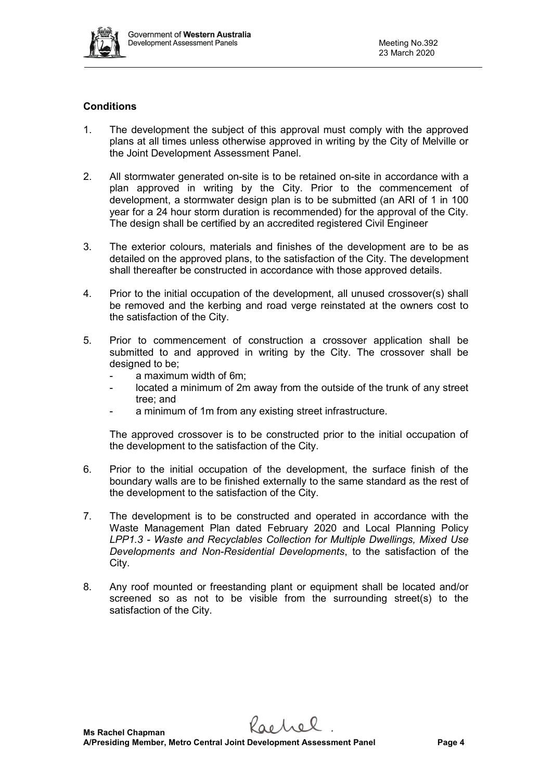

### **Conditions**

- 1. The development the subject of this approval must comply with the approved plans at all times unless otherwise approved in writing by the City of Melville or the Joint Development Assessment Panel.
- 2. All stormwater generated on-site is to be retained on-site in accordance with a plan approved in writing by the City. Prior to the commencement of development, a stormwater design plan is to be submitted (an ARI of 1 in 100 year for a 24 hour storm duration is recommended) for the approval of the City. The design shall be certified by an accredited registered Civil Engineer
- 3. The exterior colours, materials and finishes of the development are to be as detailed on the approved plans, to the satisfaction of the City. The development shall thereafter be constructed in accordance with those approved details.
- 4. Prior to the initial occupation of the development, all unused crossover(s) shall be removed and the kerbing and road verge reinstated at the owners cost to the satisfaction of the City.
- 5. Prior to commencement of construction a crossover application shall be submitted to and approved in writing by the City. The crossover shall be designed to be:
	- a maximum width of 6m;
	- located a minimum of 2m away from the outside of the trunk of any street tree; and
	- a minimum of 1m from any existing street infrastructure.

The approved crossover is to be constructed prior to the initial occupation of the development to the satisfaction of the City.

- 6. Prior to the initial occupation of the development, the surface finish of the boundary walls are to be finished externally to the same standard as the rest of the development to the satisfaction of the City.
- 7. The development is to be constructed and operated in accordance with the Waste Management Plan dated February 2020 and Local Planning Policy *LPP1.3 - Waste and Recyclables Collection for Multiple Dwellings, Mixed Use Developments and Non-Residential Developments*, to the satisfaction of the City.
- 8. Any roof mounted or freestanding plant or equipment shall be located and/or screened so as not to be visible from the surrounding street(s) to the satisfaction of the City.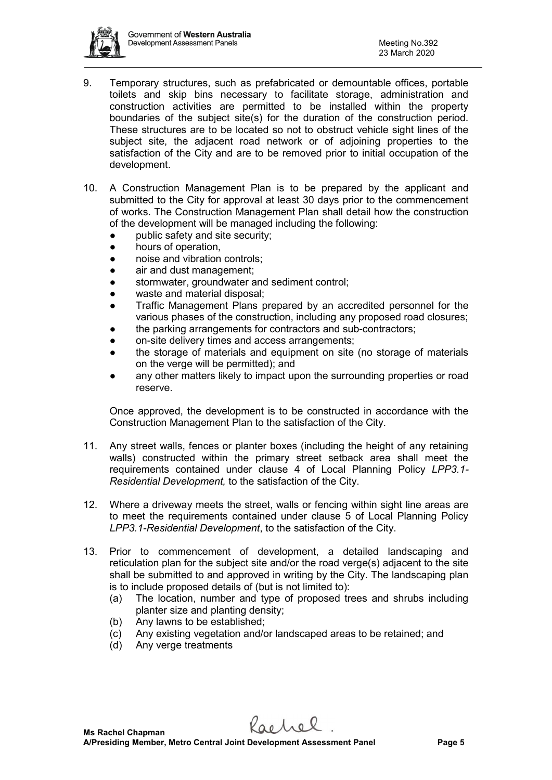

- 9. Temporary structures, such as prefabricated or demountable offices, portable toilets and skip bins necessary to facilitate storage, administration and construction activities are permitted to be installed within the property boundaries of the subject site(s) for the duration of the construction period. These structures are to be located so not to obstruct vehicle sight lines of the subject site, the adjacent road network or of adjoining properties to the satisfaction of the City and are to be removed prior to initial occupation of the development.
- 10. A Construction Management Plan is to be prepared by the applicant and submitted to the City for approval at least 30 days prior to the commencement of works. The Construction Management Plan shall detail how the construction of the development will be managed including the following:
	- public safety and site security;
	- hours of operation,
	- noise and vibration controls;
	- air and dust management:
	- stormwater, groundwater and sediment control;
	- waste and material disposal;
	- Traffic Management Plans prepared by an accredited personnel for the various phases of the construction, including any proposed road closures;
	- the parking arrangements for contractors and sub-contractors;
	- on-site delivery times and access arrangements;
	- the storage of materials and equipment on site (no storage of materials on the verge will be permitted); and
	- any other matters likely to impact upon the surrounding properties or road reserve.

Once approved, the development is to be constructed in accordance with the Construction Management Plan to the satisfaction of the City.

- 11. Any street walls, fences or planter boxes (including the height of any retaining walls) constructed within the primary street setback area shall meet the requirements contained under clause 4 of Local Planning Policy *LPP3.1- Residential Development,* to the satisfaction of the City.
- 12. Where a driveway meets the street, walls or fencing within sight line areas are to meet the requirements contained under clause 5 of Local Planning Policy *LPP3.1-Residential Development*, to the satisfaction of the City.
- 13. Prior to commencement of development, a detailed landscaping and reticulation plan for the subject site and/or the road verge(s) adjacent to the site shall be submitted to and approved in writing by the City. The landscaping plan is to include proposed details of (but is not limited to):
	- (a) The location, number and type of proposed trees and shrubs including planter size and planting density;
	- (b) Any lawns to be established;
	- (c) Any existing vegetation and/or landscaped areas to be retained; and
	- (d) Any verge treatments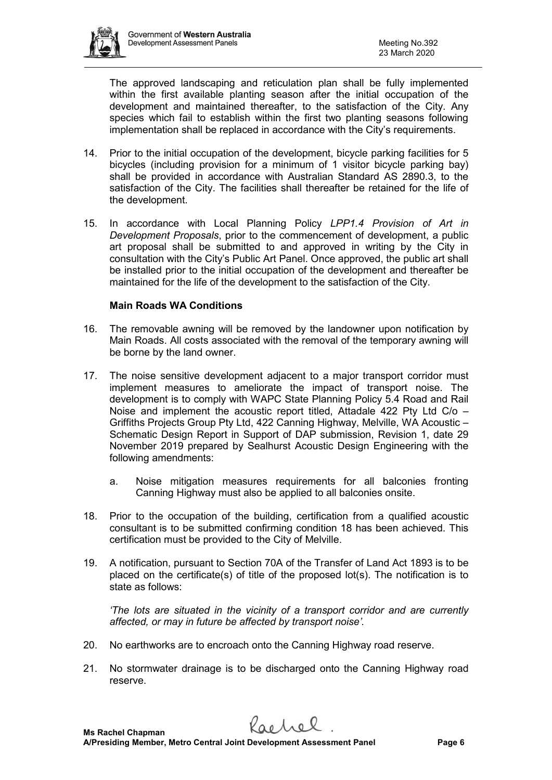

The approved landscaping and reticulation plan shall be fully implemented within the first available planting season after the initial occupation of the development and maintained thereafter, to the satisfaction of the City. Any species which fail to establish within the first two planting seasons following implementation shall be replaced in accordance with the City's requirements.

- 14. Prior to the initial occupation of the development, bicycle parking facilities for 5 bicycles (including provision for a minimum of 1 visitor bicycle parking bay) shall be provided in accordance with Australian Standard AS 2890.3, to the satisfaction of the City. The facilities shall thereafter be retained for the life of the development.
- 15. In accordance with Local Planning Policy *LPP1.4 Provision of Art in Development Proposals*, prior to the commencement of development, a public art proposal shall be submitted to and approved in writing by the City in consultation with the City's Public Art Panel. Once approved, the public art shall be installed prior to the initial occupation of the development and thereafter be maintained for the life of the development to the satisfaction of the City.

### **Main Roads WA Conditions**

- 16. The removable awning will be removed by the landowner upon notification by Main Roads. All costs associated with the removal of the temporary awning will be borne by the land owner.
- 17. The noise sensitive development adjacent to a major transport corridor must implement measures to ameliorate the impact of transport noise. The development is to comply with WAPC State Planning Policy 5.4 Road and Rail Noise and implement the acoustic report titled, Attadale 422 Pty Ltd C/o – Griffiths Projects Group Pty Ltd, 422 Canning Highway, Melville, WA Acoustic – Schematic Design Report in Support of DAP submission, Revision 1, date 29 November 2019 prepared by Sealhurst Acoustic Design Engineering with the following amendments:
	- a. Noise mitigation measures requirements for all balconies fronting Canning Highway must also be applied to all balconies onsite.
- 18. Prior to the occupation of the building, certification from a qualified acoustic consultant is to be submitted confirming condition 18 has been achieved. This certification must be provided to the City of Melville.
- 19. A notification, pursuant to Section 70A of the Transfer of Land Act 1893 is to be placed on the certificate(s) of title of the proposed lot(s). The notification is to state as follows:

*'The lots are situated in the vicinity of a transport corridor and are currently affected, or may in future be affected by transport noise'.* 

- 20. No earthworks are to encroach onto the Canning Highway road reserve.
- 21. No stormwater drainage is to be discharged onto the Canning Highway road reserve.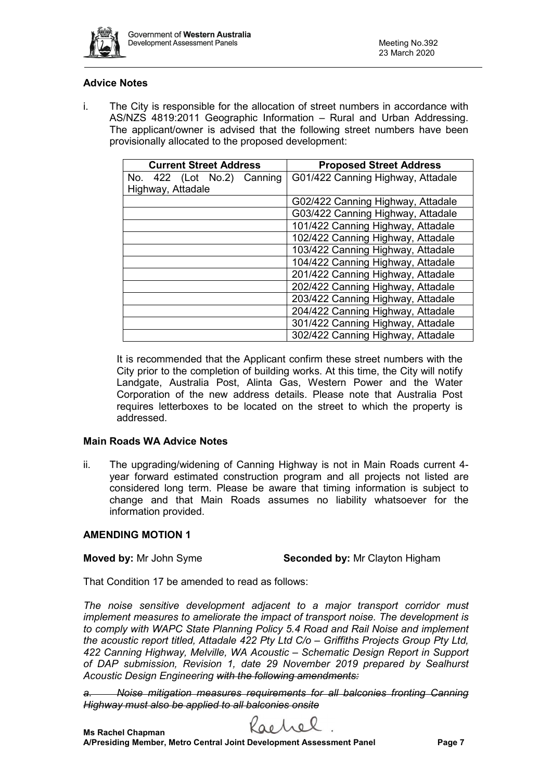

### **Advice Notes**

i. The City is responsible for the allocation of street numbers in accordance with AS/NZS 4819:2011 Geographic Information – Rural and Urban Addressing. The applicant/owner is advised that the following street numbers have been provisionally allocated to the proposed development:

| <b>Current Street Address</b> | <b>Proposed Street Address</b>    |
|-------------------------------|-----------------------------------|
| No. 422 (Lot No.2) Canning    | G01/422 Canning Highway, Attadale |
| Highway, Attadale             |                                   |
|                               | G02/422 Canning Highway, Attadale |
|                               | G03/422 Canning Highway, Attadale |
|                               | 101/422 Canning Highway, Attadale |
|                               | 102/422 Canning Highway, Attadale |
|                               | 103/422 Canning Highway, Attadale |
|                               | 104/422 Canning Highway, Attadale |
|                               | 201/422 Canning Highway, Attadale |
|                               | 202/422 Canning Highway, Attadale |
|                               | 203/422 Canning Highway, Attadale |
|                               | 204/422 Canning Highway, Attadale |
|                               | 301/422 Canning Highway, Attadale |
|                               | 302/422 Canning Highway, Attadale |

It is recommended that the Applicant confirm these street numbers with the City prior to the completion of building works. At this time, the City will notify Landgate, Australia Post, Alinta Gas, Western Power and the Water Corporation of the new address details. Please note that Australia Post requires letterboxes to be located on the street to which the property is addressed.

### **Main Roads WA Advice Notes**

ii. The upgrading/widening of Canning Highway is not in Main Roads current 4 year forward estimated construction program and all projects not listed are considered long term. Please be aware that timing information is subject to change and that Main Roads assumes no liability whatsoever for the information provided.

### **AMENDING MOTION 1**

**Moved by:** Mr John Syme **Seconded by:** Mr Clayton Higham

That Condition 17 be amended to read as follows:

*The noise sensitive development adjacent to a major transport corridor must implement measures to ameliorate the impact of transport noise. The development is to comply with WAPC State Planning Policy 5.4 Road and Rail Noise and implement the acoustic report titled, Attadale 422 Pty Ltd C/o – Griffiths Projects Group Pty Ltd, 422 Canning Highway, Melville, WA Acoustic – Schematic Design Report in Support of DAP submission, Revision 1, date 29 November 2019 prepared by Sealhurst Acoustic Design Engineering with the following amendments:* 

*a. Noise mitigation measures requirements for all balconies fronting Canning Highway must also be applied to all balconies onsite*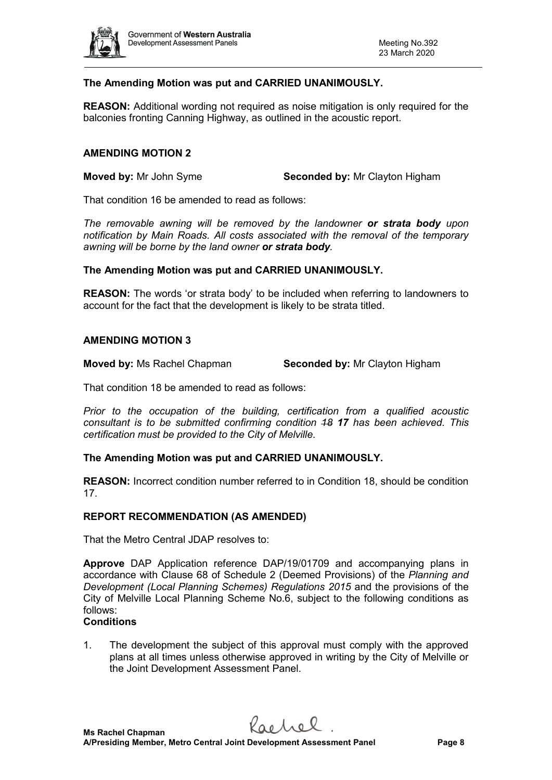

### **The Amending Motion was put and CARRIED UNANIMOUSLY.**

**REASON:** Additional wording not required as noise mitigation is only required for the balconies fronting Canning Highway, as outlined in the acoustic report.

#### **AMENDING MOTION 2**

**Moved by:** Mr John Syme **Seconded by:** Mr Clayton Higham

That condition 16 be amended to read as follows:

*The removable awning will be removed by the landowner or strata body upon notification by Main Roads. All costs associated with the removal of the temporary awning will be borne by the land owner or strata body.*

#### **The Amending Motion was put and CARRIED UNANIMOUSLY.**

**REASON:** The words 'or strata body' to be included when referring to landowners to account for the fact that the development is likely to be strata titled.

#### **AMENDING MOTION 3**

**Moved by:** Ms Rachel Chapman **Seconded by:** Mr Clayton Higham

That condition 18 be amended to read as follows:

*Prior to the occupation of the building, certification from a qualified acoustic consultant is to be submitted confirming condition 18 17 has been achieved. This certification must be provided to the City of Melville.* 

#### **The Amending Motion was put and CARRIED UNANIMOUSLY.**

**REASON:** Incorrect condition number referred to in Condition 18, should be condition 17.

#### **REPORT RECOMMENDATION (AS AMENDED)**

That the Metro Central JDAP resolves to:

**Approve** DAP Application reference DAP/19/01709 and accompanying plans in accordance with Clause 68 of Schedule 2 (Deemed Provisions) of the *Planning and Development (Local Planning Schemes) Regulations 2015* and the provisions of the City of Melville Local Planning Scheme No.6, subject to the following conditions as follows:

#### **Conditions**

1. The development the subject of this approval must comply with the approved plans at all times unless otherwise approved in writing by the City of Melville or the Joint Development Assessment Panel.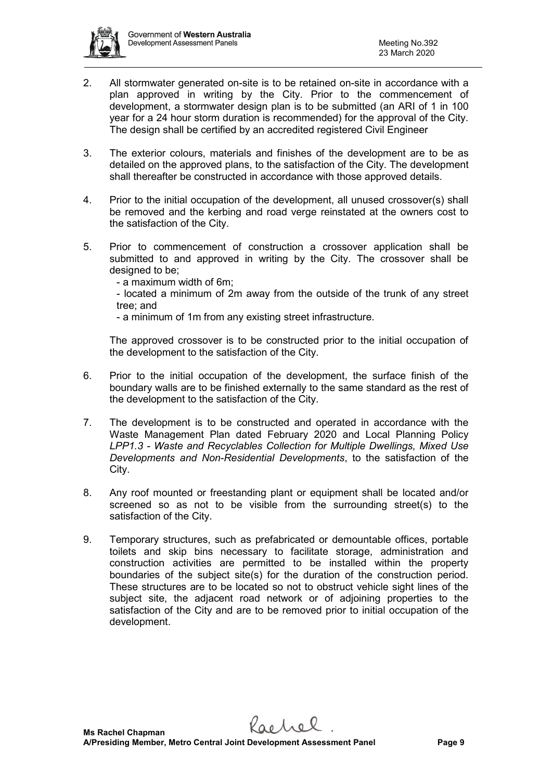

- 2. All stormwater generated on-site is to be retained on-site in accordance with a plan approved in writing by the City. Prior to the commencement of development, a stormwater design plan is to be submitted (an ARI of 1 in 100 year for a 24 hour storm duration is recommended) for the approval of the City. The design shall be certified by an accredited registered Civil Engineer
- 3. The exterior colours, materials and finishes of the development are to be as detailed on the approved plans, to the satisfaction of the City. The development shall thereafter be constructed in accordance with those approved details.
- 4. Prior to the initial occupation of the development, all unused crossover(s) shall be removed and the kerbing and road verge reinstated at the owners cost to the satisfaction of the City.
- 5. Prior to commencement of construction a crossover application shall be submitted to and approved in writing by the City. The crossover shall be designed to be:
	- a maximum width of 6m;
	- located a minimum of 2m away from the outside of the trunk of any street tree; and
	- a minimum of 1m from any existing street infrastructure.

The approved crossover is to be constructed prior to the initial occupation of the development to the satisfaction of the City.

- 6. Prior to the initial occupation of the development, the surface finish of the boundary walls are to be finished externally to the same standard as the rest of the development to the satisfaction of the City.
- 7. The development is to be constructed and operated in accordance with the Waste Management Plan dated February 2020 and Local Planning Policy *LPP1.3 - Waste and Recyclables Collection for Multiple Dwellings, Mixed Use Developments and Non-Residential Developments*, to the satisfaction of the City.
- 8. Any roof mounted or freestanding plant or equipment shall be located and/or screened so as not to be visible from the surrounding street(s) to the satisfaction of the City.
- 9. Temporary structures, such as prefabricated or demountable offices, portable toilets and skip bins necessary to facilitate storage, administration and construction activities are permitted to be installed within the property boundaries of the subject site(s) for the duration of the construction period. These structures are to be located so not to obstruct vehicle sight lines of the subject site, the adjacent road network or of adjoining properties to the satisfaction of the City and are to be removed prior to initial occupation of the development.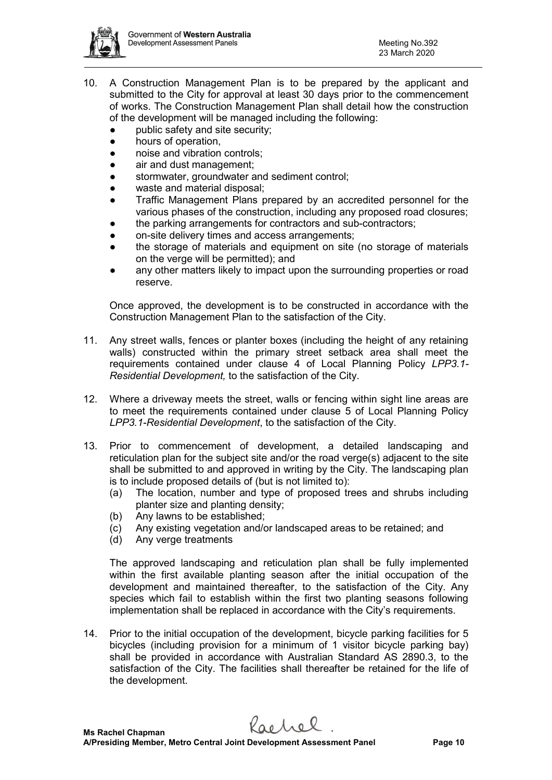

- 10. A Construction Management Plan is to be prepared by the applicant and submitted to the City for approval at least 30 days prior to the commencement of works. The Construction Management Plan shall detail how the construction of the development will be managed including the following:
	- public safety and site security:
	- hours of operation,
	- noise and vibration controls:
	- air and dust management;
	- stormwater, groundwater and sediment control;
	- waste and material disposal;
	- Traffic Management Plans prepared by an accredited personnel for the various phases of the construction, including any proposed road closures;
	- the parking arrangements for contractors and sub-contractors;
	- on-site delivery times and access arrangements;
	- the storage of materials and equipment on site (no storage of materials on the verge will be permitted); and
	- any other matters likely to impact upon the surrounding properties or road reserve.

Once approved, the development is to be constructed in accordance with the Construction Management Plan to the satisfaction of the City.

- 11. Any street walls, fences or planter boxes (including the height of any retaining walls) constructed within the primary street setback area shall meet the requirements contained under clause 4 of Local Planning Policy *LPP3.1- Residential Development,* to the satisfaction of the City.
- 12. Where a driveway meets the street, walls or fencing within sight line areas are to meet the requirements contained under clause 5 of Local Planning Policy *LPP3.1-Residential Development*, to the satisfaction of the City.
- 13. Prior to commencement of development, a detailed landscaping and reticulation plan for the subject site and/or the road verge(s) adjacent to the site shall be submitted to and approved in writing by the City. The landscaping plan is to include proposed details of (but is not limited to):
	- (a) The location, number and type of proposed trees and shrubs including planter size and planting density;
	- (b) Any lawns to be established;
	- (c) Any existing vegetation and/or landscaped areas to be retained; and
	- (d) Any verge treatments

The approved landscaping and reticulation plan shall be fully implemented within the first available planting season after the initial occupation of the development and maintained thereafter, to the satisfaction of the City. Any species which fail to establish within the first two planting seasons following implementation shall be replaced in accordance with the City's requirements.

14. Prior to the initial occupation of the development, bicycle parking facilities for 5 bicycles (including provision for a minimum of 1 visitor bicycle parking bay) shall be provided in accordance with Australian Standard AS 2890.3, to the satisfaction of the City. The facilities shall thereafter be retained for the life of the development.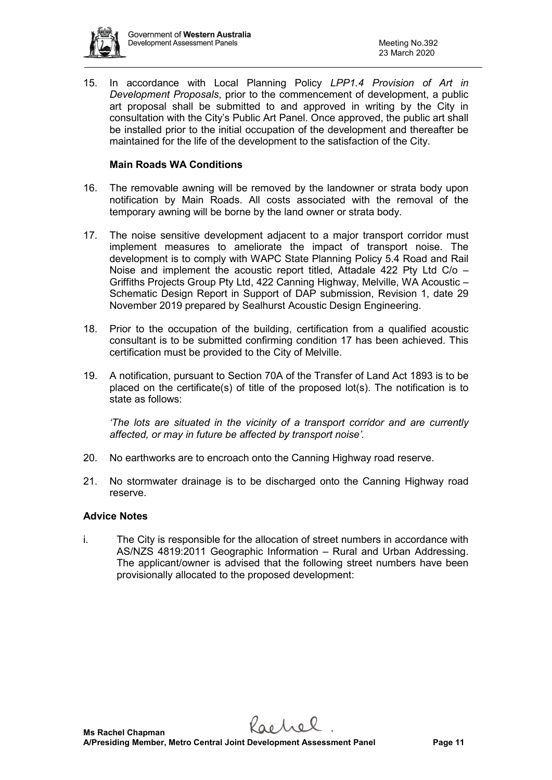

15. In accordance with Local Planning Policy *LPP1.4 Provision of Art in Development Proposals*, prior to the commencement of development, a public art proposal shall be submitted to and approved in writing by the City in consultation with the City's Public Art Panel. Once approved, the public art shall be installed prior to the initial occupation of the development and thereafter be maintained for the life of the development to the satisfaction of the City.

### **Main Roads WA Conditions**

- 16. The removable awning will be removed by the landowner or strata body upon notification by Main Roads. All costs associated with the removal of the temporary awning will be borne by the land owner or strata body.
- 17. The noise sensitive development adjacent to a major transport corridor must implement measures to ameliorate the impact of transport noise. The development is to comply with WAPC State Planning Policy 5.4 Road and Rail Noise and implement the acoustic report titled, Attadale 422 Pty Ltd C/o – Griffiths Projects Group Pty Ltd, 422 Canning Highway, Melville, WA Acoustic – Schematic Design Report in Support of DAP submission, Revision 1, date 29 November 2019 prepared by Sealhurst Acoustic Design Engineering.
- 18. Prior to the occupation of the building, certification from a qualified acoustic consultant is to be submitted confirming condition 17 has been achieved. This certification must be provided to the City of Melville.
- 19. A notification, pursuant to Section 70A of the Transfer of Land Act 1893 is to be placed on the certificate(s) of title of the proposed lot(s). The notification is to state as follows:

*'The lots are situated in the vicinity of a transport corridor and are currently affected, or may in future be affected by transport noise'.* 

- 20. No earthworks are to encroach onto the Canning Highway road reserve.
- 21. No stormwater drainage is to be discharged onto the Canning Highway road reserve.

### **Advice Notes**

i. The City is responsible for the allocation of street numbers in accordance with AS/NZS 4819:2011 Geographic Information – Rural and Urban Addressing. The applicant/owner is advised that the following street numbers have been provisionally allocated to the proposed development: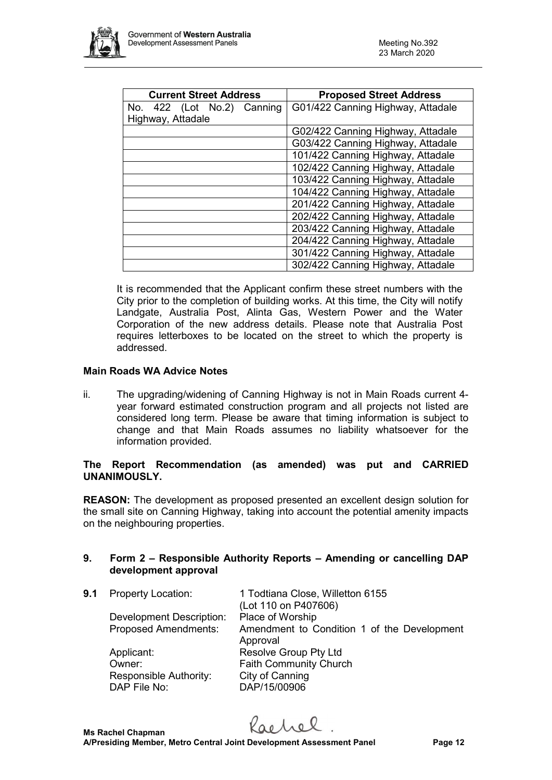

| <b>Current Street Address</b> | <b>Proposed Street Address</b>    |
|-------------------------------|-----------------------------------|
| No. 422 (Lot No.2) Canning    | G01/422 Canning Highway, Attadale |
| Highway, Attadale             |                                   |
|                               | G02/422 Canning Highway, Attadale |
|                               | G03/422 Canning Highway, Attadale |
|                               | 101/422 Canning Highway, Attadale |
|                               | 102/422 Canning Highway, Attadale |
|                               | 103/422 Canning Highway, Attadale |
|                               | 104/422 Canning Highway, Attadale |
|                               | 201/422 Canning Highway, Attadale |
|                               | 202/422 Canning Highway, Attadale |
|                               | 203/422 Canning Highway, Attadale |
|                               | 204/422 Canning Highway, Attadale |
|                               | 301/422 Canning Highway, Attadale |
|                               | 302/422 Canning Highway, Attadale |

It is recommended that the Applicant confirm these street numbers with the City prior to the completion of building works. At this time, the City will notify Landgate, Australia Post, Alinta Gas, Western Power and the Water Corporation of the new address details. Please note that Australia Post requires letterboxes to be located on the street to which the property is addressed.

#### **Main Roads WA Advice Notes**

ii. The upgrading/widening of Canning Highway is not in Main Roads current 4 year forward estimated construction program and all projects not listed are considered long term. Please be aware that timing information is subject to change and that Main Roads assumes no liability whatsoever for the information provided.

### **The Report Recommendation (as amended) was put and CARRIED UNANIMOUSLY.**

**REASON:** The development as proposed presented an excellent design solution for the small site on Canning Highway, taking into account the potential amenity impacts on the neighbouring properties.

### **9. Form 2 – Responsible Authority Reports – Amending or cancelling DAP development approval**

| 9.1 | <b>Property Location:</b>              | 1 Todtiana Close, Willetton 6155<br>(Lot 110 on P407606) |
|-----|----------------------------------------|----------------------------------------------------------|
|     | <b>Development Description:</b>        | Place of Worship                                         |
|     | <b>Proposed Amendments:</b>            | Amendment to Condition 1 of the Development<br>Approval  |
|     | Applicant:                             | Resolve Group Pty Ltd                                    |
|     | Owner:                                 | <b>Faith Community Church</b>                            |
|     | Responsible Authority:<br>DAP File No: | City of Canning<br>DAP/15/00906                          |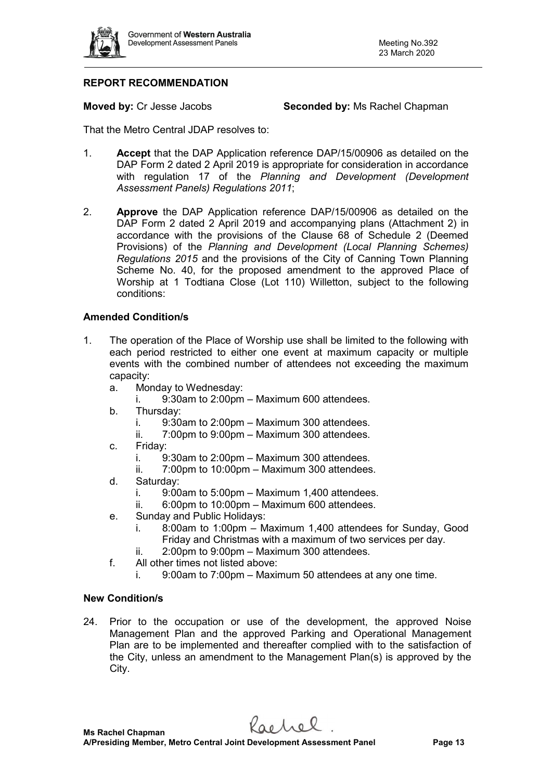

### **REPORT RECOMMENDATION**

**Moved by:** Cr Jesse Jacobs **Seconded by:** Ms Rachel Chapman

That the Metro Central JDAP resolves to:

- 1. **Accept** that the DAP Application reference DAP/15/00906 as detailed on the DAP Form 2 dated 2 April 2019 is appropriate for consideration in accordance with regulation 17 of the *Planning and Development (Development Assessment Panels) Regulations 2011*;
- 2. **Approve** the DAP Application reference DAP/15/00906 as detailed on the DAP Form 2 dated 2 April 2019 and accompanying plans (Attachment 2) in accordance with the provisions of the Clause 68 of Schedule 2 (Deemed Provisions) of the *Planning and Development (Local Planning Schemes) Regulations 2015* and the provisions of the City of Canning Town Planning Scheme No. 40, for the proposed amendment to the approved Place of Worship at 1 Todtiana Close (Lot 110) Willetton, subject to the following conditions:

### **Amended Condition/s**

- 1. The operation of the Place of Worship use shall be limited to the following with each period restricted to either one event at maximum capacity or multiple events with the combined number of attendees not exceeding the maximum capacity:
	- a. Monday to Wednesday:
		- i. 9:30am to 2:00pm Maximum 600 attendees.
	- b. Thursday:
		- i. 9:30am to 2:00pm Maximum 300 attendees.
		- ii. 7:00pm to 9:00pm Maximum 300 attendees.
	- c. Friday:
		- i. 9:30am to 2:00pm Maximum 300 attendees.
		- ii. 7:00pm to 10:00pm Maximum 300 attendees.
	- d. Saturday:
		- i.  $9:00$ am to  $5:00$ pm Maximum 1,400 attendees.
		- ii. 6:00pm to 10:00pm Maximum 600 attendees.
	- e. Sunday and Public Holidays:
		- i. 8:00am to 1:00pm Maximum 1,400 attendees for Sunday, Good Friday and Christmas with a maximum of two services per day.
		- ii. 2:00pm to 9:00pm Maximum 300 attendees.
	- f. All other times not listed above:
		- i. 9:00am to 7:00pm Maximum 50 attendees at any one time.

#### **New Condition/s**

24. Prior to the occupation or use of the development, the approved Noise Management Plan and the approved Parking and Operational Management Plan are to be implemented and thereafter complied with to the satisfaction of the City, unless an amendment to the Management Plan(s) is approved by the City.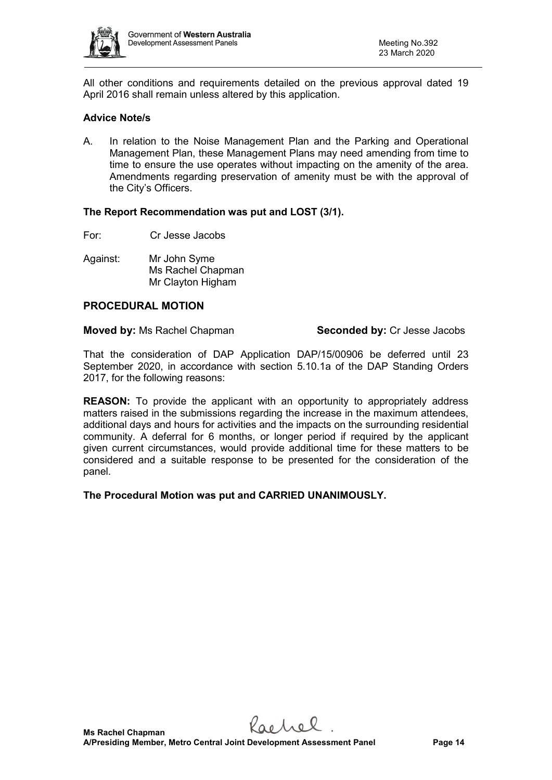

All other conditions and requirements detailed on the previous approval dated 19 April 2016 shall remain unless altered by this application.

### **Advice Note/s**

A. In relation to the Noise Management Plan and the Parking and Operational Management Plan, these Management Plans may need amending from time to time to ensure the use operates without impacting on the amenity of the area. Amendments regarding preservation of amenity must be with the approval of the City's Officers.

#### **The Report Recommendation was put and LOST (3/1).**

For: Cr Jesse Jacobs

Against: Mr John Syme Ms Rachel Chapman Mr Clayton Higham

#### **PROCEDURAL MOTION**

**Moved by:** Ms Rachel Chapman **Seconded by:** Cr Jesse Jacobs

That the consideration of DAP Application DAP/15/00906 be deferred until 23 September 2020, in accordance with section 5.10.1a of the DAP Standing Orders 2017, for the following reasons:

**REASON:** To provide the applicant with an opportunity to appropriately address matters raised in the submissions regarding the increase in the maximum attendees, additional days and hours for activities and the impacts on the surrounding residential community. A deferral for 6 months, or longer period if required by the applicant given current circumstances, would provide additional time for these matters to be considered and a suitable response to be presented for the consideration of the panel.

**The Procedural Motion was put and CARRIED UNANIMOUSLY.**